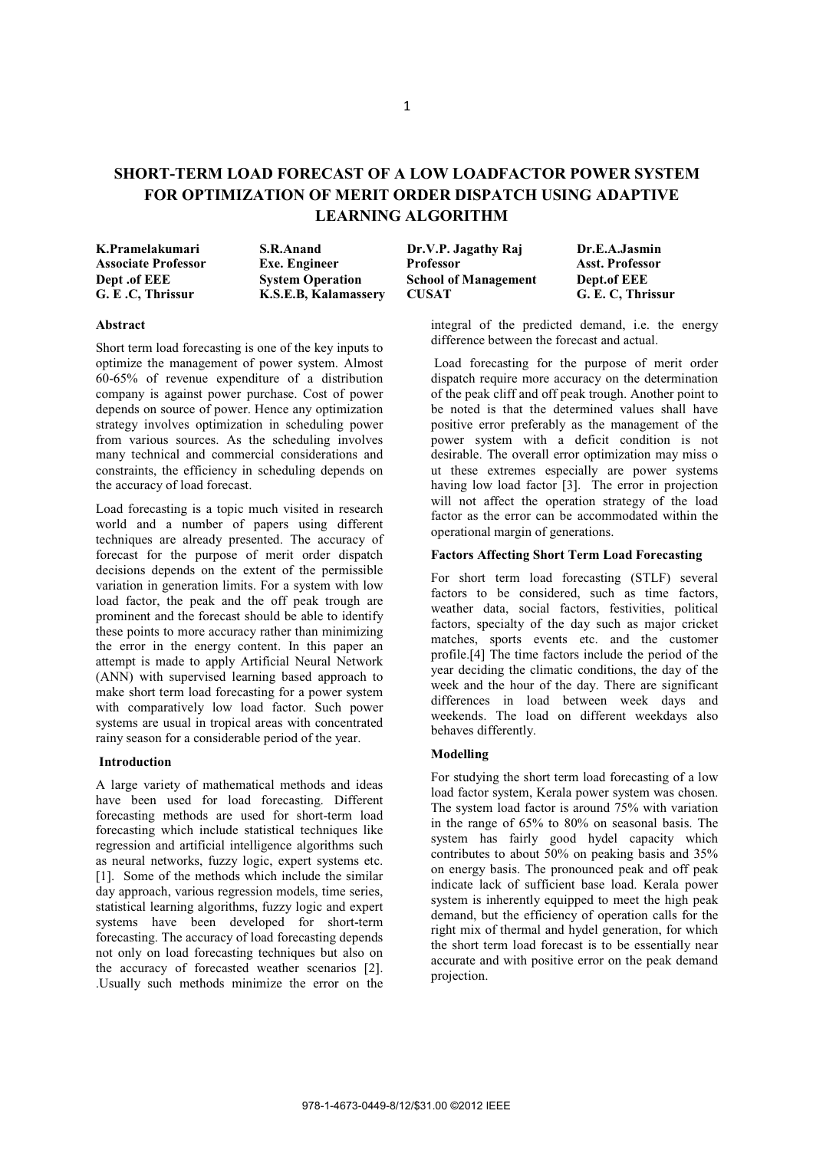# **SHORT-TERM LOAD FORECAST OF A LOW LOADFACTOR POWER SYSTEM FOR OPTIMIZATION OF MERIT ORDER DISPATCH USING ADAPTIVE LEARNING ALGORITHM**

| K.Pramelakumari     | S.R.Anand               | Dr.V.P. Jagathy Raj         | Dr.E.A.Jasmin          |
|---------------------|-------------------------|-----------------------------|------------------------|
| Associate Professor | Exe. Engineer           | <b>Professor</b>            | <b>Asst. Professor</b> |
| Dept .of EEE        | <b>System Operation</b> | <b>School of Management</b> | <b>Dept.of EEE</b>     |
| G. E .C. Thrissur   | K.S.E.B. Kalamasserv    | <b>CUSAT</b>                | G. E. C. Thrissur      |

#### **Abstract**

Short term load forecasting is one of the key inputs to optimize the management of power system. Almost 60-65% of revenue expenditure of a distribution company is against power purchase. Cost of power depends on source of power. Hence any optimization strategy involves optimization in scheduling power from various sources. As the scheduling involves many technical and commercial considerations and constraints, the efficiency in scheduling depends on the accuracy of load forecast.

Load forecasting is a topic much visited in research world and a number of papers using different techniques are already presented. The accuracy of forecast for the purpose of merit order dispatch decisions depends on the extent of the permissible variation in generation limits. For a system with low load factor, the peak and the off peak trough are prominent and the forecast should be able to identify these points to more accuracy rather than minimizing the error in the energy content. In this paper an attempt is made to apply Artificial Neural Network (ANN) with supervised learning based approach to make short term load forecasting for a power system with comparatively low load factor. Such power systems are usual in tropical areas with concentrated rainy season for a considerable period of the year.

## **Introduction**

A large variety of mathematical methods and ideas have been used for load forecasting. Different forecasting methods are used for short-term load forecasting which include statistical techniques like regression and artificial intelligence algorithms such as neural networks, fuzzy logic, expert systems etc. [1]. Some of the methods which include the similar day approach, various regression models, time series, statistical learning algorithms, fuzzy logic and expert systems have been developed for short-term forecasting. The accuracy of load forecasting depends not only on load forecasting techniques but also on the accuracy of forecasted weather scenarios [2]. .Usually such methods minimize the error on the

integral of the predicted demand, i.e. the energy difference between the forecast and actual.

 Load forecasting for the purpose of merit order dispatch require more accuracy on the determination of the peak cliff and off peak trough. Another point to be noted is that the determined values shall have positive error preferably as the management of the power system with a deficit condition is not desirable. The overall error optimization may miss o ut these extremes especially are power systems having low load factor [3]. The error in projection will not affect the operation strategy of the load factor as the error can be accommodated within the operational margin of generations.

## **Factors Affecting Short Term Load Forecasting**

For short term load forecasting (STLF) several factors to be considered, such as time factors, weather data, social factors, festivities, political factors, specialty of the day such as major cricket matches, sports events etc. and the customer profile.[4] The time factors include the period of the year deciding the climatic conditions, the day of the week and the hour of the day. There are significant differences in load between week days and weekends. The load on different weekdays also behaves differently.

# **Modelling**

For studying the short term load forecasting of a low load factor system, Kerala power system was chosen. The system load factor is around 75% with variation in the range of 65% to 80% on seasonal basis. The system has fairly good hydel capacity which contributes to about 50% on peaking basis and 35% on energy basis. The pronounced peak and off peak indicate lack of sufficient base load. Kerala power system is inherently equipped to meet the high peak demand, but the efficiency of operation calls for the right mix of thermal and hydel generation, for which the short term load forecast is to be essentially near accurate and with positive error on the peak demand projection.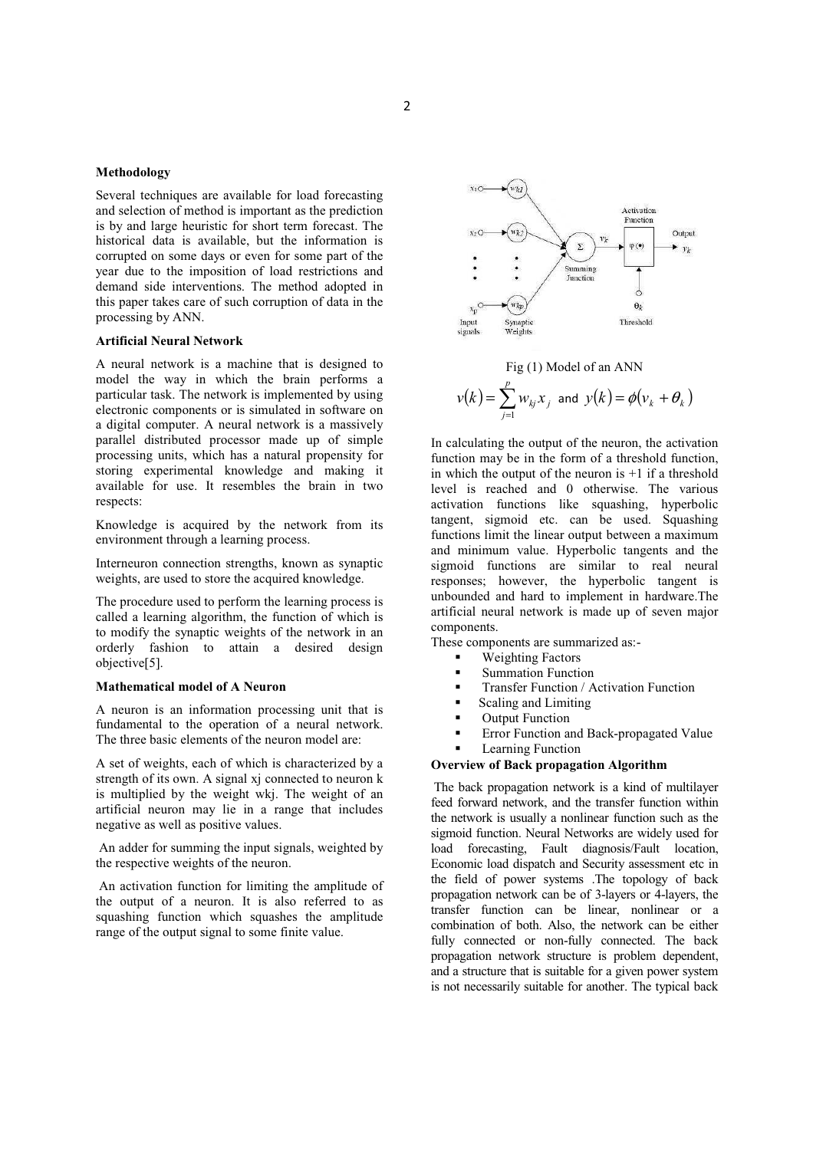## **Methodology**

Several techniques are available for load forecasting and selection of method is important as the prediction is by and large heuristic for short term forecast. The historical data is available, but the information is corrupted on some days or even for some part of the year due to the imposition of load restrictions and demand side interventions. The method adopted in this paper takes care of such corruption of data in the processing by ANN.

#### **Artificial Neural Network**

A neural network is a machine that is designed to model the way in which the brain performs a particular task. The network is implemented by using electronic components or is simulated in software on a digital computer. A neural network is a massively parallel distributed processor made up of simple processing units, which has a natural propensity for storing experimental knowledge and making it available for use. It resembles the brain in two respects:

Knowledge is acquired by the network from its environment through a learning process.

Interneuron connection strengths, known as synaptic weights, are used to store the acquired knowledge.

The procedure used to perform the learning process is called a learning algorithm, the function of which is to modify the synaptic weights of the network in an orderly fashion to attain a desired design objective[5].

## **Mathematical model of A Neuron**

A neuron is an information processing unit that is fundamental to the operation of a neural network. The three basic elements of the neuron model are:

A set of weights, each of which is characterized by a strength of its own. A signal xj connected to neuron k is multiplied by the weight wkj. The weight of an artificial neuron may lie in a range that includes negative as well as positive values.

 An adder for summing the input signals, weighted by the respective weights of the neuron.

 An activation function for limiting the amplitude of the output of a neuron. It is also referred to as squashing function which squashes the amplitude range of the output signal to some finite value.



Fig (1) Model of an ANN

$$
v(k) = \sum_{j=1}^{p} w_{kj} x_j
$$
 and 
$$
y(k) = \phi(v_k + \theta_k)
$$

In calculating the output of the neuron, the activation function may be in the form of a threshold function, in which the output of the neuron is  $+1$  if a threshold level is reached and 0 otherwise. The various activation functions like squashing, hyperbolic tangent, sigmoid etc. can be used. Squashing functions limit the linear output between a maximum and minimum value. Hyperbolic tangents and the sigmoid functions are similar to real neural responses; however, the hyperbolic tangent is unbounded and hard to implement in hardware.The artificial neural network is made up of seven major components.

These components are summarized as:-

- -Weighting Factors
- -Summation Function
- -Transfer Function / Activation Function
- -Scaling and Limiting
- -Output Function
- - Error Function and Back-propagated Value -

## Learning Function **Overview of Back propagation Algorithm**

 The back propagation network is a kind of multilayer feed forward network, and the transfer function within the network is usually a nonlinear function such as the sigmoid function. Neural Networks are widely used for load forecasting, Fault diagnosis/Fault location, Economic load dispatch and Security assessment etc in the field of power systems .The topology of back propagation network can be of 3-layers or 4-layers, the transfer function can be linear, nonlinear or a combination of both. Also, the network can be either fully connected or non-fully connected. The back propagation network structure is problem dependent, and a structure that is suitable for a given power system is not necessarily suitable for another. The typical back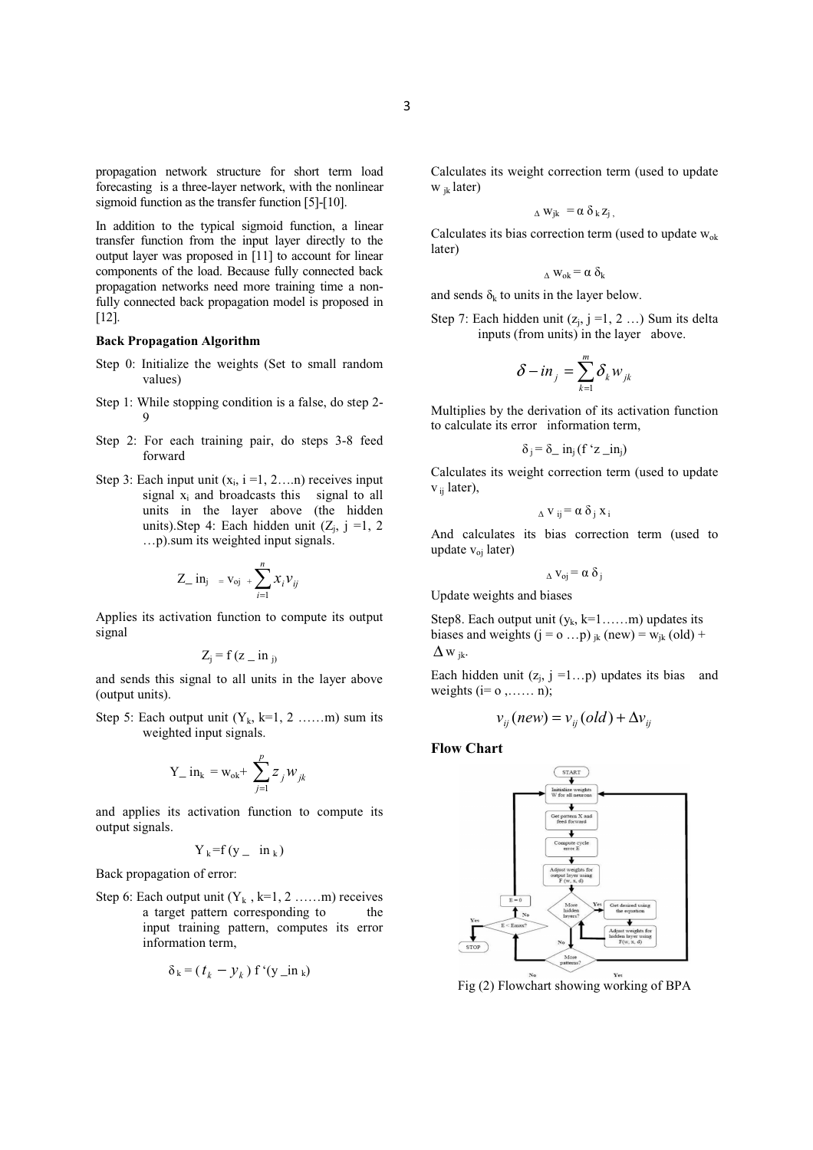propagation network structure for short term load forecasting is a three-layer network, with the nonlinear sigmoid function as the transfer function [5]-[10].

In addition to the typical sigmoid function, a linear transfer function from the input layer directly to the output layer was proposed in [11] to account for linear components of the load. Because fully connected back propagation networks need more training time a nonfully connected back propagation model is proposed in [12].

## **Back Propagation Algorithm**

- Step 0: Initialize the weights (Set to small random values)
- Step 1: While stopping condition is a false, do step 2-  $\Omega$
- Step 2: For each training pair, do steps 3-8 feed forward
- Step 3: Each input unit  $(x_i, i = 1, 2...n)$  receives input signal  $x_i$  and broadcasts this signal to all units in the layer above (the hidden units). Step 4: Each hidden unit  $(Z_i, j =1, 2)$ …p).sum its weighted input signals.

$$
Z_{-} \text{ in}_{j} = v_{oj} + \sum_{i=1}^{n} x_{i} v_{ij}
$$

Applies its activation function to compute its output signal

$$
Z_j = f(z \nvert \text{in } j)
$$

and sends this signal to all units in the layer above (output units).

Step 5: Each output unit  $(Y_k, k=1, 2, \ldots, m)$  sum its weighted input signals.

$$
Y_{-} \, in_{k} = w_{ok} + \sum_{j=1}^{p} z_{j} w_{jk}
$$

and applies its activation function to compute its output signals.

$$
Y_k = f(y - in_k)
$$

Back propagation of error:

Step 6: Each output unit  $(Y_k, k=1, 2, \ldots, m)$  receives a target pattern corresponding to the input training pattern, computes its error information term,

$$
\delta_{k} = (t_{k} - y_{k}) \mathbf{f}^{\prime}(\mathbf{y} - \mathbf{in}_{k})
$$

Calculates its weight correction term (used to update  $w_{ik}$  later)

$$
_{\Delta} w_{jk} = \alpha \delta_k z_j ,
$$

Calculates its bias correction term (used to update  $W_{\alpha k}$ ) later)

$$
_{\Delta}\;w_{ok}\!=\alpha\;\delta_{k}
$$

and sends  $\delta_k$  to units in the layer below.

Step 7: Each hidden unit  $(z_j, j = 1, 2 ...)$  Sum its delta inputs (from units) in the layer above.

$$
\delta - in_j = \sum_{k=1}^m \delta_k w_{jk}
$$

Multiplies by the derivation of its activation function to calculate its error information term,

$$
\delta_j = \delta_{\underline{\hspace{1ex}}} \text{ in}_j \left( f \, {}^{\scriptscriptstyle\bullet} z \, \underline{\hspace{1ex}} \text{ in}_j \right)
$$

Calculates its weight correction term (used to update v<sub>ii</sub> later),

$$
_{\Delta}\ v_{ij}\!=\!\alpha\ \delta_{j}\ x_{i}
$$

And calculates its bias correction term (used to update voj later)

$$
_{\Delta} v_{oj} = \alpha \delta_j
$$

Update weights and biases

Step8. Each output unit  $(y_k, k=1,...,m)$  updates its biases and weights  $(j = 0 ... p)_{ik}$  (new) = w<sub>ik</sub> (old) +  $\Delta w_{ik}$ .

Each hidden unit  $(z_j, j = 1...p)$  updates its bias and weights  $(i= 0, \ldots, n)$ ;

$$
v_{ij}(new) = v_{ij}(old) + \Delta v_{ij}
$$

**Flow Chart**



Fig (2) Flowchart showing working of BPA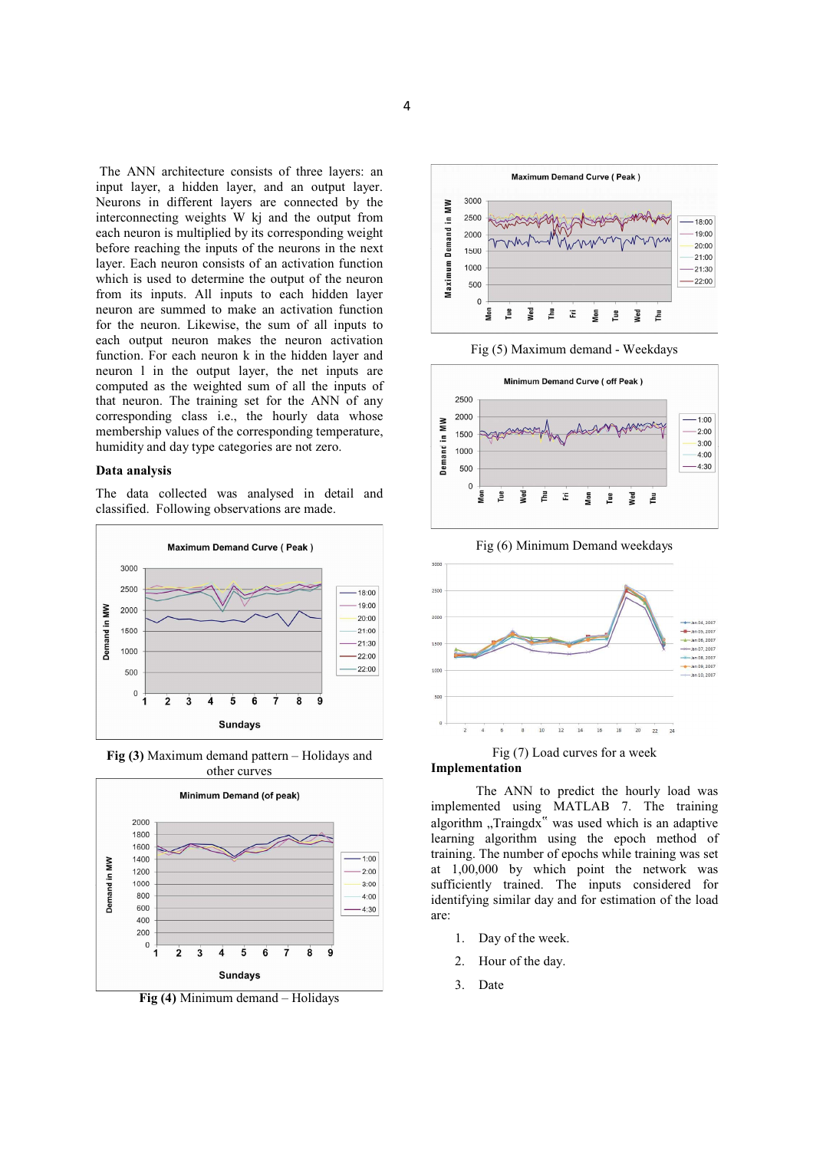The ANN architecture consists of three layers: an input layer, a hidden layer, and an output layer. Neurons in different layers are connected by the interconnecting weights W kj and the output from each neuron is multiplied by its corresponding weight before reaching the inputs of the neurons in the next layer. Each neuron consists of an activation function which is used to determine the output of the neuron from its inputs. All inputs to each hidden layer neuron are summed to make an activation function for the neuron. Likewise, the sum of all inputs to each output neuron makes the neuron activation function. For each neuron k in the hidden layer and neuron l in the output layer, the net inputs are computed as the weighted sum of all the inputs of that neuron. The training set for the ANN of any corresponding class i.e., the hourly data whose membership values of the corresponding temperature, humidity and day type categories are not zero.

#### **Data analysis**

The data collected was analysed in detail and classified. Following observations are made.



**Fig (3)** Maximum demand pattern – Holidays and other curves



**Fig (4)** Minimum demand – Holidays



Fig (5) Maximum demand - Weekdays



Fig (6) Minimum Demand weekdays



## **Implementation**

The ANN to predict the hourly load was ine ANN to predict the notify load was<br>
implemented using MATLAB 7. The training<br>
algorithm "Traingdx" was used which is an adaptive algorithm "Traingdx" was used which is an adaptive learning algorithm using the epoch method of training. The number of epochs while training was set at 1,00,000 by which point the network was sufficiently trained. The inputs considered for identifying similar day and for estimation of the load are:

- 1. Day of the week.
- 2. Hour of the day.
- 3. Date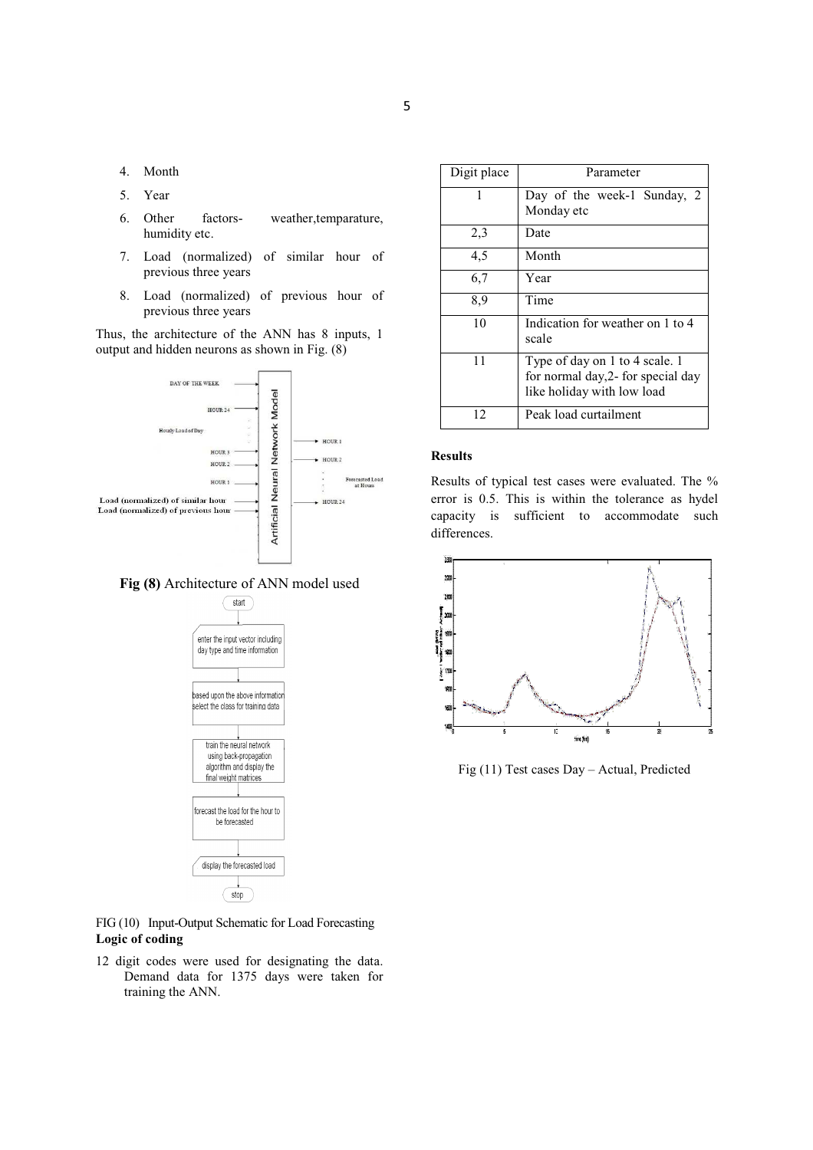- 4. Month
- 5. Year
- 6. Other factors- weather,temparature, humidity etc.
- 7. Load (normalized) of similar hour of previous three years
- 8. Load (normalized) of previous hour of previous three years

Thus, the architecture of the ANN has 8 inputs, 1 output and hidden neurons as shown in Fig. (8)







FIG (10) Input-Output Schematic for Load Forecasting **Logic of coding** 

12 digit codes were used for designating the data. Demand data for 1375 days were taken for training the ANN.

| Digit place | Parameter                                                                                          |  |
|-------------|----------------------------------------------------------------------------------------------------|--|
|             | Day of the week-1 Sunday, 2<br>Monday etc                                                          |  |
| 2,3         | Date                                                                                               |  |
| 4,5         | Month                                                                                              |  |
| 6,7         | Year                                                                                               |  |
| 8,9         | Time                                                                                               |  |
| 10          | Indication for weather on 1 to 4<br>scale                                                          |  |
| 11          | Type of day on 1 to 4 scale. 1<br>for normal day, 2- for special day<br>like holiday with low load |  |
| 12          | Peak load curtailment                                                                              |  |

# **Results**

Results of typical test cases were evaluated. The % error is 0.5. This is within the tolerance as hydel capacity is sufficient to accommodate such differences.



Fig (11) Test cases Day – Actual, Predicted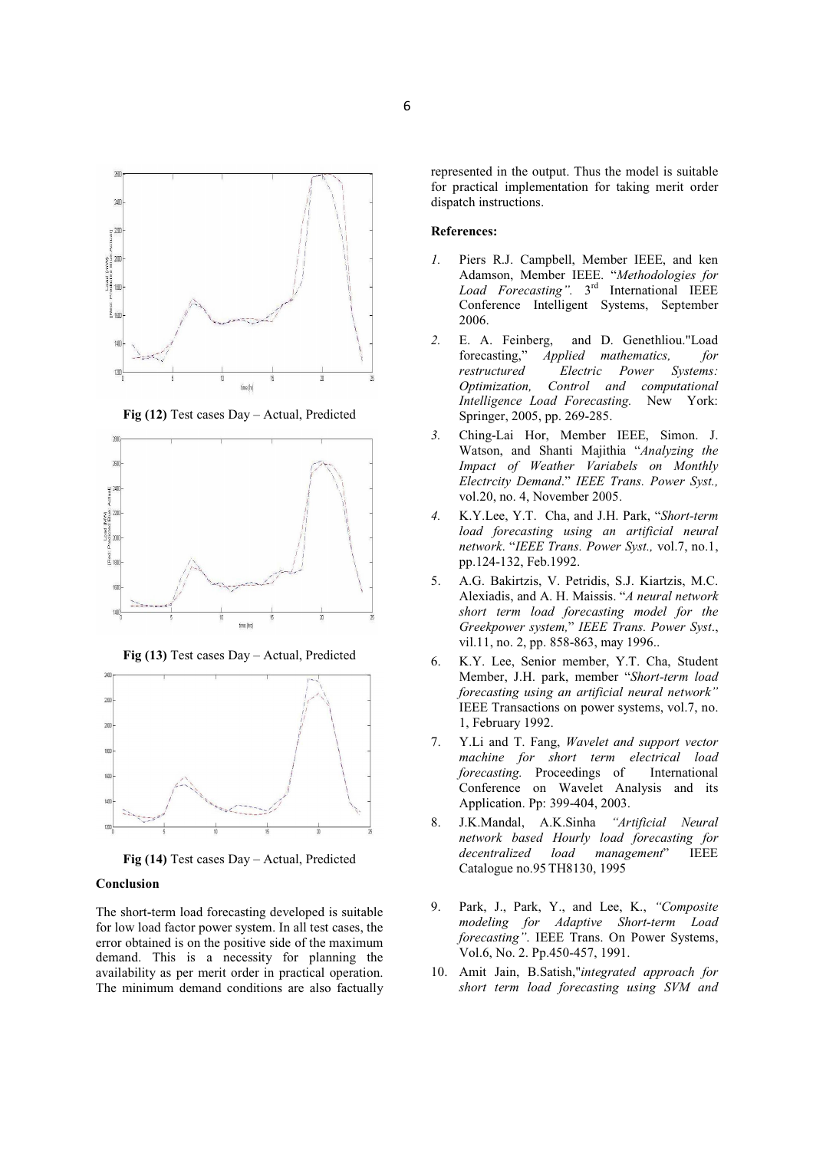

**Fig (12)** Test cases Day – Actual, Predicted



**Fig (13)** Test cases Day – Actual, Predicted



**Fig (14)** Test cases Day – Actual, Predicted

#### **Conclusion**

The short-term load forecasting developed is suitable for low load factor power system. In all test cases, the error obtained is on the positive side of the maximum demand. This is a necessity for planning the availability as per merit order in practical operation. The minimum demand conditions are also factually

represented in the output. Thus the model is suitable for practical implementation for taking merit order dispatch instructions.

# **References:**

- *1.* Piers R.J. Campbell, Member IEEE, and ken Adamson, Member IEEE. "*Methodologies for Load Forecasting".* 3rd International IEEE Conference Intelligent Systems, September 2006.
- *2.* E. A. Feinberg, and D. Genethliou."Load forecasting," *Applied mathematics, for restructured Electric Power Systems: Optimization, Control and computational Intelligence Load Forecasting.* New York: Springer, 2005, pp. 269-285.
- *3.* Ching-Lai Hor, Member IEEE, Simon. J. Watson, and Shanti Majithia "*Analyzing the Impact of Weather Variabels on Monthly Electrcity Demand*." *IEEE Trans. Power Syst.,*  vol.20, no. 4, November 2005.
- *4.* K.Y.Lee, Y.T. Cha, and J.H. Park, "*Short-term load forecasting using an artificial neural network*. "*IEEE Trans. Power Syst.,* vol.7, no.1, pp.124-132, Feb.1992.
- 5. A.G. Bakirtzis, V. Petridis, S.J. Kiartzis, M.C. Alexiadis, and A. H. Maissis. "*A neural network short term load forecasting model for the Greekpower system,*" *IEEE Trans. Power Syst*., vil.11, no. 2, pp. 858-863, may 1996..
- 6. K.Y. Lee, Senior member, Y.T. Cha, Student Member, J.H. park, member "*Short-term load forecasting using an artificial neural network"* IEEE Transactions on power systems, vol.7, no. 1, February 1992.
- 7. Y.Li and T. Fang, *Wavelet and support vector machine for short term electrical load forecasting.* Proceedings of International Conference on Wavelet Analysis and its Application. Pp: 399-404, 2003.
- 8. J.K.Mandal, A.K.Sinha *"Artificial Neural network based Hourly load forecasting for decentralized load management*" IEEE Catalogue no.95 TH8130, 1995
- 9. Park, J., Park, Y., and Lee, K., *"Composite modeling for Adaptive Short-term Load forecasting"*. IEEE Trans. On Power Systems, Vol.6, No. 2. Pp.450-457, 1991.
- 10. Amit Jain, B.Satish,"*integrated approach for short term load forecasting using SVM and*